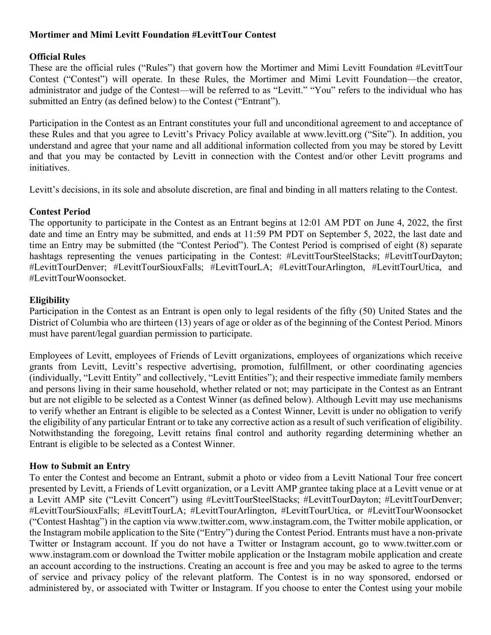### **Mortimer and Mimi Levitt Foundation #LevittTour Contest**

### **Official Rules**

These are the official rules ("Rules") that govern how the Mortimer and Mimi Levitt Foundation #LevittTour Contest ("Contest") will operate. In these Rules, the Mortimer and Mimi Levitt Foundation—the creator, administrator and judge of the Contest—will be referred to as "Levitt." "You" refers to the individual who has submitted an Entry (as defined below) to the Contest ("Entrant").

Participation in the Contest as an Entrant constitutes your full and unconditional agreement to and acceptance of these Rules and that you agree to Levitt's Privacy Policy available at www.levitt.org ("Site"). In addition, you understand and agree that your name and all additional information collected from you may be stored by Levitt and that you may be contacted by Levitt in connection with the Contest and/or other Levitt programs and initiatives.

Levitt's decisions, in its sole and absolute discretion, are final and binding in all matters relating to the Contest.

# **Contest Period**

The opportunity to participate in the Contest as an Entrant begins at 12:01 AM PDT on June 4, 2022, the first date and time an Entry may be submitted, and ends at 11:59 PM PDT on September 5, 2022, the last date and time an Entry may be submitted (the "Contest Period"). The Contest Period is comprised of eight (8) separate hashtags representing the venues participating in the Contest: #LevittTourSteelStacks; #LevittTourDayton; #LevittTourDenver; #LevittTourSiouxFalls; #LevittTourLA; #LevittTourArlington, #LevittTourUtica, and #LevittTourWoonsocket.

# **Eligibility**

Participation in the Contest as an Entrant is open only to legal residents of the fifty (50) United States and the District of Columbia who are thirteen (13) years of age or older as of the beginning of the Contest Period. Minors must have parent/legal guardian permission to participate.

Employees of Levitt, employees of Friends of Levitt organizations, employees of organizations which receive grants from Levitt, Levitt's respective advertising, promotion, fulfillment, or other coordinating agencies (individually, "Levitt Entity" and collectively, "Levitt Entities"); and their respective immediate family members and persons living in their same household, whether related or not; may participate in the Contest as an Entrant but are not eligible to be selected as a Contest Winner (as defined below). Although Levitt may use mechanisms to verify whether an Entrant is eligible to be selected as a Contest Winner, Levitt is under no obligation to verify the eligibility of any particular Entrant or to take any corrective action as a result of such verification of eligibility. Notwithstanding the foregoing, Levitt retains final control and authority regarding determining whether an Entrant is eligible to be selected as a Contest Winner.

### **How to Submit an Entry**

To enter the Contest and become an Entrant, submit a photo or video from a Levitt National Tour free concert presented by Levitt, a Friends of Levitt organization, or a Levitt AMP grantee taking place at a Levitt venue or at a Levitt AMP site ("Levitt Concert") using #LevittTourSteelStacks; #LevittTourDayton; #LevittTourDenver; #LevittTourSiouxFalls; #LevittTourLA; #LevittTourArlington, #LevittTourUtica, or #LevittTourWoonsocket ("Contest Hashtag") in the caption via www.twitter.com, www.instagram.com, the Twitter mobile application, or the Instagram mobile application to the Site ("Entry") during the Contest Period. Entrants must have a non-private Twitter or Instagram account. If you do not have a Twitter or Instagram account, go to www.twitter.com or www.instagram.com or download the Twitter mobile application or the Instagram mobile application and create an account according to the instructions. Creating an account is free and you may be asked to agree to the terms of service and privacy policy of the relevant platform. The Contest is in no way sponsored, endorsed or administered by, or associated with Twitter or Instagram. If you choose to enter the Contest using your mobile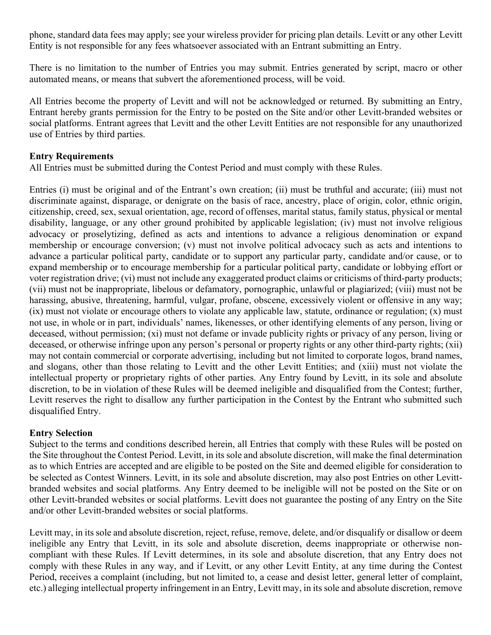phone, standard data fees may apply; see your wireless provider for pricing plan details. Levitt or any other Levitt Entity is not responsible for any fees whatsoever associated with an Entrant submitting an Entry.

There is no limitation to the number of Entries you may submit. Entries generated by script, macro or other automated means, or means that subvert the aforementioned process, will be void.

All Entries become the property of Levitt and will not be acknowledged or returned. By submitting an Entry, Entrant hereby grants permission for the Entry to be posted on the Site and/or other Levitt-branded websites or social platforms. Entrant agrees that Levitt and the other Levitt Entities are not responsible for any unauthorized use of Entries by third parties.

#### **Entry Requirements**

All Entries must be submitted during the Contest Period and must comply with these Rules.

Entries (i) must be original and of the Entrant's own creation; (ii) must be truthful and accurate; (iii) must not discriminate against, disparage, or denigrate on the basis of race, ancestry, place of origin, color, ethnic origin, citizenship, creed, sex, sexual orientation, age, record of offenses, marital status, family status, physical or mental disability, language, or any other ground prohibited by applicable legislation; (iv) must not involve religious advocacy or proselytizing, defined as acts and intentions to advance a religious denomination or expand membership or encourage conversion; (v) must not involve political advocacy such as acts and intentions to advance a particular political party, candidate or to support any particular party, candidate and/or cause, or to expand membership or to encourage membership for a particular political party, candidate or lobbying effort or voter registration drive; (vi) must not include any exaggerated product claims or criticisms of third-party products; (vii) must not be inappropriate, libelous or defamatory, pornographic, unlawful or plagiarized; (viii) must not be harassing, abusive, threatening, harmful, vulgar, profane, obscene, excessively violent or offensive in any way; (ix) must not violate or encourage others to violate any applicable law, statute, ordinance or regulation; (x) must not use, in whole or in part, individuals' names, likenesses, or other identifying elements of any person, living or deceased, without permission; (xi) must not defame or invade publicity rights or privacy of any person, living or deceased, or otherwise infringe upon any person's personal or property rights or any other third-party rights; (xii) may not contain commercial or corporate advertising, including but not limited to corporate logos, brand names, and slogans, other than those relating to Levitt and the other Levitt Entities; and (xiii) must not violate the intellectual property or proprietary rights of other parties. Any Entry found by Levitt, in its sole and absolute discretion, to be in violation of these Rules will be deemed ineligible and disqualified from the Contest; further, Levitt reserves the right to disallow any further participation in the Contest by the Entrant who submitted such disqualified Entry.

### **Entry Selection**

Subject to the terms and conditions described herein, all Entries that comply with these Rules will be posted on the Site throughout the Contest Period. Levitt, in its sole and absolute discretion, will make the final determination as to which Entries are accepted and are eligible to be posted on the Site and deemed eligible for consideration to be selected as Contest Winners. Levitt, in its sole and absolute discretion, may also post Entries on other Levittbranded websites and social platforms. Any Entry deemed to be ineligible will not be posted on the Site or on other Levitt-branded websites or social platforms. Levitt does not guarantee the posting of any Entry on the Site and/or other Levitt-branded websites or social platforms.

Levitt may, in its sole and absolute discretion, reject, refuse, remove, delete, and/or disqualify or disallow or deem ineligible any Entry that Levitt, in its sole and absolute discretion, deems inappropriate or otherwise noncompliant with these Rules. If Levitt determines, in its sole and absolute discretion, that any Entry does not comply with these Rules in any way, and if Levitt, or any other Levitt Entity, at any time during the Contest Period, receives a complaint (including, but not limited to, a cease and desist letter, general letter of complaint, etc.) alleging intellectual property infringement in an Entry, Levitt may, in its sole and absolute discretion, remove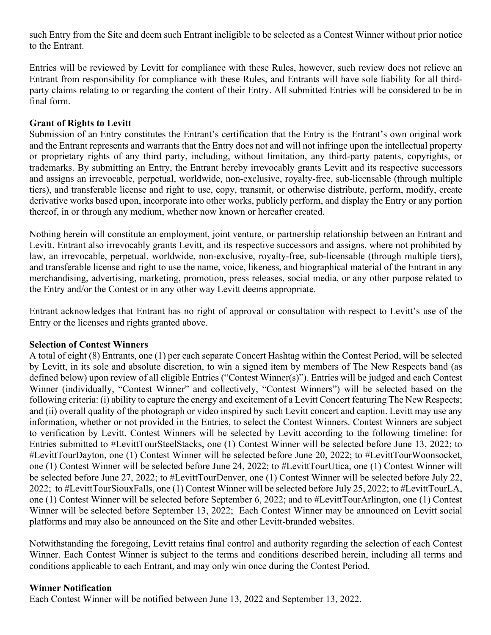such Entry from the Site and deem such Entrant ineligible to be selected as a Contest Winner without prior notice to the Entrant.

Entries will be reviewed by Levitt for compliance with these Rules, however, such review does not relieve an Entrant from responsibility for compliance with these Rules, and Entrants will have sole liability for all thirdparty claims relating to or regarding the content of their Entry. All submitted Entries will be considered to be in final form.

### **Grant of Rights to Levitt**

Submission of an Entry constitutes the Entrant's certification that the Entry is the Entrant's own original work and the Entrant represents and warrants that the Entry does not and will not infringe upon the intellectual property or proprietary rights of any third party, including, without limitation, any third-party patents, copyrights, or trademarks. By submitting an Entry, the Entrant hereby irrevocably grants Levitt and its respective successors and assigns an irrevocable, perpetual, worldwide, non-exclusive, royalty-free, sub-licensable (through multiple tiers), and transferable license and right to use, copy, transmit, or otherwise distribute, perform, modify, create derivative works based upon, incorporate into other works, publicly perform, and display the Entry or any portion thereof, in or through any medium, whether now known or hereafter created.

Nothing herein will constitute an employment, joint venture, or partnership relationship between an Entrant and Levitt. Entrant also irrevocably grants Levitt, and its respective successors and assigns, where not prohibited by law, an irrevocable, perpetual, worldwide, non-exclusive, royalty-free, sub-licensable (through multiple tiers), and transferable license and right to use the name, voice, likeness, and biographical material of the Entrant in any merchandising, advertising, marketing, promotion, press releases, social media, or any other purpose related to the Entry and/or the Contest or in any other way Levitt deems appropriate.

Entrant acknowledges that Entrant has no right of approval or consultation with respect to Levitt's use of the Entry or the licenses and rights granted above.

### **Selection of Contest Winners**

A total of eight (8) Entrants, one (1) per each separate Concert Hashtag within the Contest Period, will be selected by Levitt, in its sole and absolute discretion, to win a signed item by members of The New Respects band (as defined below) upon review of all eligible Entries ("Contest Winner(s)"). Entries will be judged and each Contest Winner (individually, "Contest Winner" and collectively, "Contest Winners") will be selected based on the following criteria: (i) ability to capture the energy and excitement of a Levitt Concert featuring The New Respects; and (ii) overall quality of the photograph or video inspired by such Levitt concert and caption. Levitt may use any information, whether or not provided in the Entries, to select the Contest Winners. Contest Winners are subject to verification by Levitt. Contest Winners will be selected by Levitt according to the following timeline: for Entries submitted to #LevittTourSteelStacks, one (1) Contest Winner will be selected before June 13, 2022; to #LevittTourDayton, one (1) Contest Winner will be selected before June 20, 2022; to #LevittTourWoonsocket, one (1) Contest Winner will be selected before June 24, 2022; to #LevittTourUtica, one (1) Contest Winner will be selected before June 27, 2022; to #LevittTourDenver, one (1) Contest Winner will be selected before July 22, 2022; to #LevittTourSiouxFalls, one (1) Contest Winner will be selected before July 25, 2022; to #LevittTourLA, one (1) Contest Winner will be selected before September 6, 2022; and to #LevittTourArlington, one (1) Contest Winner will be selected before September 13, 2022; Each Contest Winner may be announced on Levitt social platforms and may also be announced on the Site and other Levitt-branded websites.

Notwithstanding the foregoing, Levitt retains final control and authority regarding the selection of each Contest Winner. Each Contest Winner is subject to the terms and conditions described herein, including all terms and conditions applicable to each Entrant, and may only win once during the Contest Period.

### **Winner Notification**

Each Contest Winner will be notified between June 13, 2022 and September 13, 2022.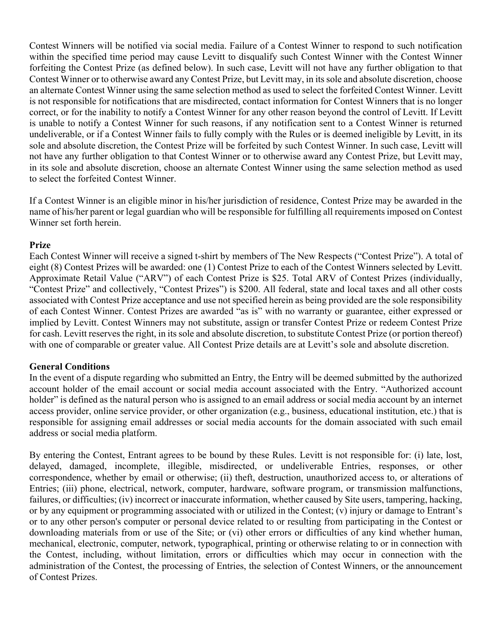Contest Winners will be notified via social media. Failure of a Contest Winner to respond to such notification within the specified time period may cause Levitt to disqualify such Contest Winner with the Contest Winner forfeiting the Contest Prize (as defined below). In such case, Levitt will not have any further obligation to that Contest Winner or to otherwise award any Contest Prize, but Levitt may, in its sole and absolute discretion, choose an alternate Contest Winner using the same selection method as used to select the forfeited Contest Winner. Levitt is not responsible for notifications that are misdirected, contact information for Contest Winners that is no longer correct, or for the inability to notify a Contest Winner for any other reason beyond the control of Levitt. If Levitt is unable to notify a Contest Winner for such reasons, if any notification sent to a Contest Winner is returned undeliverable, or if a Contest Winner fails to fully comply with the Rules or is deemed ineligible by Levitt, in its sole and absolute discretion, the Contest Prize will be forfeited by such Contest Winner. In such case, Levitt will not have any further obligation to that Contest Winner or to otherwise award any Contest Prize, but Levitt may, in its sole and absolute discretion, choose an alternate Contest Winner using the same selection method as used to select the forfeited Contest Winner.

If a Contest Winner is an eligible minor in his/her jurisdiction of residence, Contest Prize may be awarded in the name of his/her parent or legal guardian who will be responsible for fulfilling all requirements imposed on Contest Winner set forth herein.

#### **Prize**

Each Contest Winner will receive a signed t-shirt by members of The New Respects ("Contest Prize"). A total of eight (8) Contest Prizes will be awarded: one (1) Contest Prize to each of the Contest Winners selected by Levitt. Approximate Retail Value ("ARV") of each Contest Prize is \$25. Total ARV of Contest Prizes (individually, "Contest Prize" and collectively, "Contest Prizes") is \$200. All federal, state and local taxes and all other costs associated with Contest Prize acceptance and use not specified herein as being provided are the sole responsibility of each Contest Winner. Contest Prizes are awarded "as is" with no warranty or guarantee, either expressed or implied by Levitt. Contest Winners may not substitute, assign or transfer Contest Prize or redeem Contest Prize for cash. Levitt reserves the right, in its sole and absolute discretion, to substitute Contest Prize (or portion thereof) with one of comparable or greater value. All Contest Prize details are at Levitt's sole and absolute discretion.

### **General Conditions**

In the event of a dispute regarding who submitted an Entry, the Entry will be deemed submitted by the authorized account holder of the email account or social media account associated with the Entry. "Authorized account holder" is defined as the natural person who is assigned to an email address or social media account by an internet access provider, online service provider, or other organization (e.g., business, educational institution, etc.) that is responsible for assigning email addresses or social media accounts for the domain associated with such email address or social media platform.

By entering the Contest, Entrant agrees to be bound by these Rules. Levitt is not responsible for: (i) late, lost, delayed, damaged, incomplete, illegible, misdirected, or undeliverable Entries, responses, or other correspondence, whether by email or otherwise; (ii) theft, destruction, unauthorized access to, or alterations of Entries; (iii) phone, electrical, network, computer, hardware, software program, or transmission malfunctions, failures, or difficulties; (iv) incorrect or inaccurate information, whether caused by Site users, tampering, hacking, or by any equipment or programming associated with or utilized in the Contest; (v) injury or damage to Entrant's or to any other person's computer or personal device related to or resulting from participating in the Contest or downloading materials from or use of the Site; or (vi) other errors or difficulties of any kind whether human, mechanical, electronic, computer, network, typographical, printing or otherwise relating to or in connection with the Contest, including, without limitation, errors or difficulties which may occur in connection with the administration of the Contest, the processing of Entries, the selection of Contest Winners, or the announcement of Contest Prizes.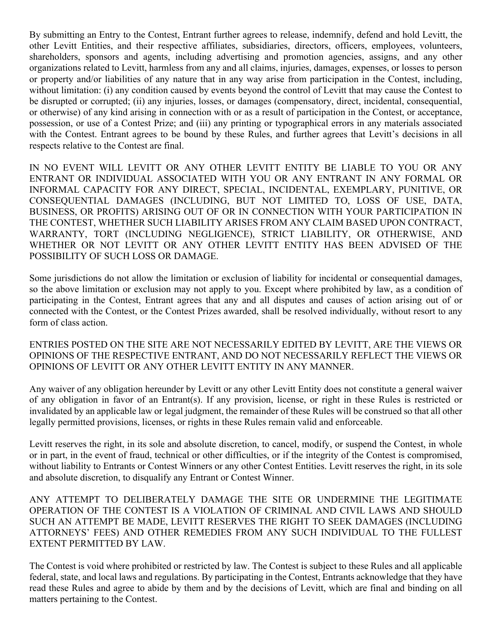By submitting an Entry to the Contest, Entrant further agrees to release, indemnify, defend and hold Levitt, the other Levitt Entities, and their respective affiliates, subsidiaries, directors, officers, employees, volunteers, shareholders, sponsors and agents, including advertising and promotion agencies, assigns, and any other organizations related to Levitt, harmless from any and all claims, injuries, damages, expenses, or losses to person or property and/or liabilities of any nature that in any way arise from participation in the Contest, including, without limitation: (i) any condition caused by events beyond the control of Levitt that may cause the Contest to be disrupted or corrupted; (ii) any injuries, losses, or damages (compensatory, direct, incidental, consequential, or otherwise) of any kind arising in connection with or as a result of participation in the Contest, or acceptance, possession, or use of a Contest Prize; and (iii) any printing or typographical errors in any materials associated with the Contest. Entrant agrees to be bound by these Rules, and further agrees that Levitt's decisions in all respects relative to the Contest are final.

IN NO EVENT WILL LEVITT OR ANY OTHER LEVITT ENTITY BE LIABLE TO YOU OR ANY ENTRANT OR INDIVIDUAL ASSOCIATED WITH YOU OR ANY ENTRANT IN ANY FORMAL OR INFORMAL CAPACITY FOR ANY DIRECT, SPECIAL, INCIDENTAL, EXEMPLARY, PUNITIVE, OR CONSEQUENTIAL DAMAGES (INCLUDING, BUT NOT LIMITED TO, LOSS OF USE, DATA, BUSINESS, OR PROFITS) ARISING OUT OF OR IN CONNECTION WITH YOUR PARTICIPATION IN THE CONTEST, WHETHER SUCH LIABILITY ARISES FROM ANY CLAIM BASED UPON CONTRACT, WARRANTY, TORT (INCLUDING NEGLIGENCE), STRICT LIABILITY, OR OTHERWISE, AND WHETHER OR NOT LEVITT OR ANY OTHER LEVITT ENTITY HAS BEEN ADVISED OF THE POSSIBILITY OF SUCH LOSS OR DAMAGE.

Some jurisdictions do not allow the limitation or exclusion of liability for incidental or consequential damages, so the above limitation or exclusion may not apply to you. Except where prohibited by law, as a condition of participating in the Contest, Entrant agrees that any and all disputes and causes of action arising out of or connected with the Contest, or the Contest Prizes awarded, shall be resolved individually, without resort to any form of class action.

ENTRIES POSTED ON THE SITE ARE NOT NECESSARILY EDITED BY LEVITT, ARE THE VIEWS OR OPINIONS OF THE RESPECTIVE ENTRANT, AND DO NOT NECESSARILY REFLECT THE VIEWS OR OPINIONS OF LEVITT OR ANY OTHER LEVITT ENTITY IN ANY MANNER.

Any waiver of any obligation hereunder by Levitt or any other Levitt Entity does not constitute a general waiver of any obligation in favor of an Entrant(s). If any provision, license, or right in these Rules is restricted or invalidated by an applicable law or legal judgment, the remainder of these Rules will be construed so that all other legally permitted provisions, licenses, or rights in these Rules remain valid and enforceable.

Levitt reserves the right, in its sole and absolute discretion, to cancel, modify, or suspend the Contest, in whole or in part, in the event of fraud, technical or other difficulties, or if the integrity of the Contest is compromised, without liability to Entrants or Contest Winners or any other Contest Entities. Levitt reserves the right, in its sole and absolute discretion, to disqualify any Entrant or Contest Winner.

ANY ATTEMPT TO DELIBERATELY DAMAGE THE SITE OR UNDERMINE THE LEGITIMATE OPERATION OF THE CONTEST IS A VIOLATION OF CRIMINAL AND CIVIL LAWS AND SHOULD SUCH AN ATTEMPT BE MADE, LEVITT RESERVES THE RIGHT TO SEEK DAMAGES (INCLUDING ATTORNEYS' FEES) AND OTHER REMEDIES FROM ANY SUCH INDIVIDUAL TO THE FULLEST EXTENT PERMITTED BY LAW.

The Contest is void where prohibited or restricted by law. The Contest is subject to these Rules and all applicable federal, state, and local laws and regulations. By participating in the Contest, Entrants acknowledge that they have read these Rules and agree to abide by them and by the decisions of Levitt, which are final and binding on all matters pertaining to the Contest.